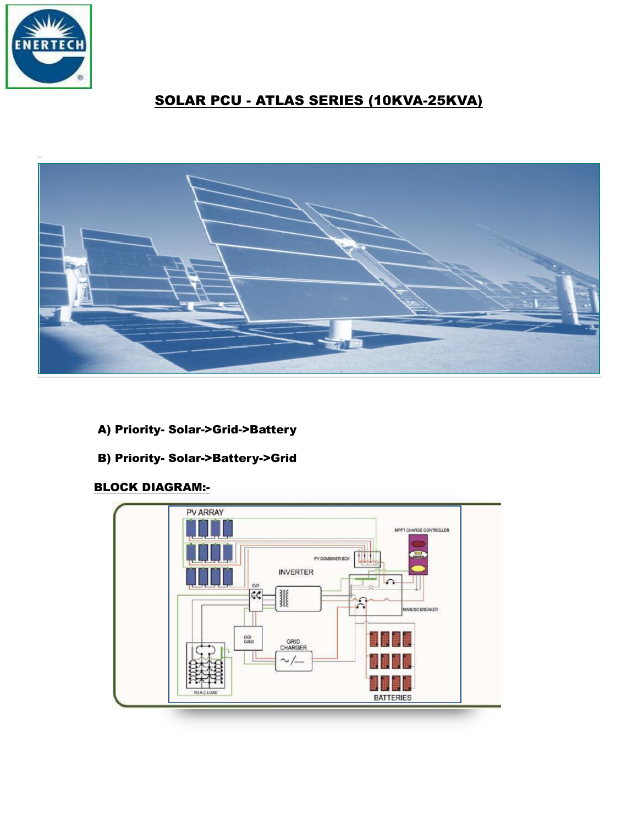

# SOLAR PCU - ATLAS SERIES (10KVA-25KVA)



- A) Priority- Solar->Grid->Battery
- B) Priority- Solar->Battery->Grid

# BLOCK DIAGRAM:-

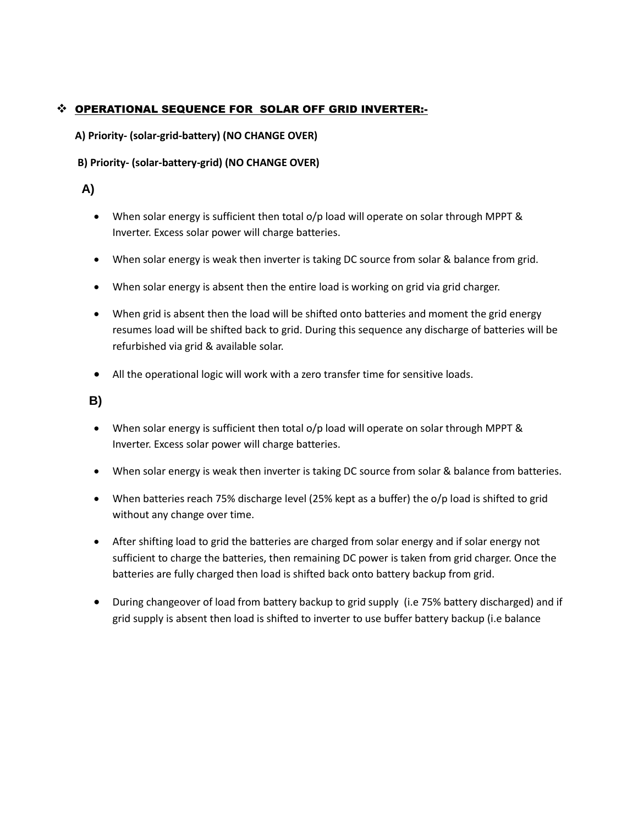### OPERATIONAL SEQUENCE FOR SOLAR OFF GRID INVERTER:-

**A) Priority- (solar-grid-battery) (NO CHANGE OVER)**

#### **B) Priority- (solar-battery-grid) (NO CHANGE OVER)**

## **A)**

- When solar energy is sufficient then total o/p load will operate on solar through MPPT & Inverter. Excess solar power will charge batteries.
- When solar energy is weak then inverter is taking DC source from solar & balance from grid.
- When solar energy is absent then the entire load is working on grid via grid charger.
- When grid is absent then the load will be shifted onto batteries and moment the grid energy resumes load will be shifted back to grid. During this sequence any discharge of batteries will be refurbished via grid & available solar.
- All the operational logic will work with a zero transfer time for sensitive loads.

 **B)**

- When solar energy is sufficient then total o/p load will operate on solar through MPPT & Inverter. Excess solar power will charge batteries.
- When solar energy is weak then inverter is taking DC source from solar & balance from batteries.
- When batteries reach 75% discharge level (25% kept as a buffer) the o/p load is shifted to grid without any change over time.
- After shifting load to grid the batteries are charged from solar energy and if solar energy not sufficient to charge the batteries, then remaining DC power is taken from grid charger. Once the batteries are fully charged then load is shifted back onto battery backup from grid.
- During changeover of load from battery backup to grid supply (i.e 75% battery discharged) and if grid supply is absent then load is shifted to inverter to use buffer battery backup (i.e balance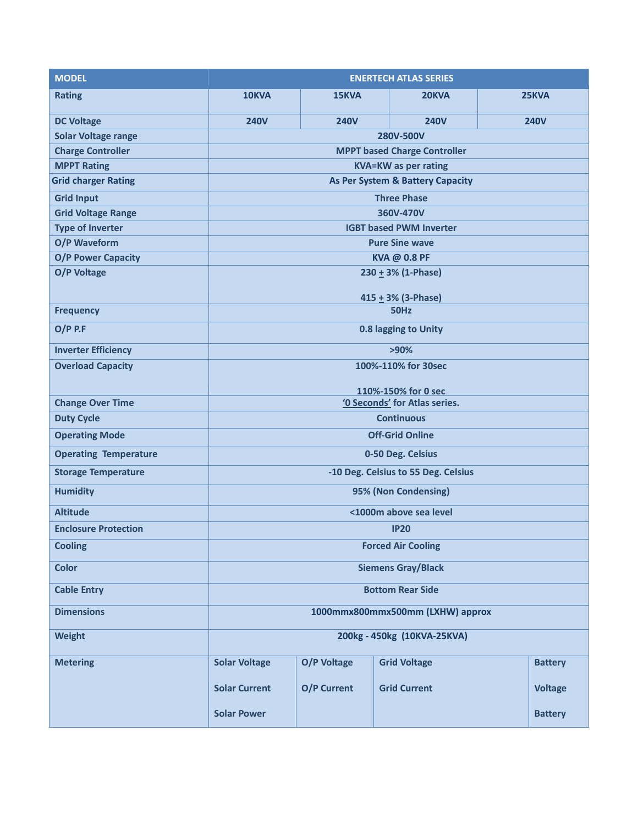| <b>MODEL</b>                 | <b>ENERTECH ATLAS SERIES</b>                         |             |                     |             |                |  |  |
|------------------------------|------------------------------------------------------|-------------|---------------------|-------------|----------------|--|--|
| <b>Rating</b>                | 10KVA                                                | 15KVA       | 20KVA               | 25KVA       |                |  |  |
| <b>DC Voltage</b>            | <b>240V</b>                                          | <b>240V</b> | <b>240V</b>         | <b>240V</b> |                |  |  |
| <b>Solar Voltage range</b>   | 280V-500V                                            |             |                     |             |                |  |  |
| <b>Charge Controller</b>     | <b>MPPT based Charge Controller</b>                  |             |                     |             |                |  |  |
| <b>MPPT Rating</b>           | <b>KVA=KW</b> as per rating                          |             |                     |             |                |  |  |
| <b>Grid charger Rating</b>   | <b>As Per System &amp; Battery Capacity</b>          |             |                     |             |                |  |  |
| <b>Grid Input</b>            | <b>Three Phase</b>                                   |             |                     |             |                |  |  |
| <b>Grid Voltage Range</b>    | 360V-470V                                            |             |                     |             |                |  |  |
| <b>Type of Inverter</b>      | <b>IGBT based PWM Inverter</b>                       |             |                     |             |                |  |  |
| O/P Waveform                 | <b>Pure Sine wave</b>                                |             |                     |             |                |  |  |
| <b>O/P Power Capacity</b>    | KVA @ 0.8 PF                                         |             |                     |             |                |  |  |
| O/P Voltage                  | $230 \pm 3\%$ (1-Phase)                              |             |                     |             |                |  |  |
| <b>Frequency</b>             | 415 $\pm$ 3% (3-Phase)<br><b>50Hz</b>                |             |                     |             |                |  |  |
| $O/P$ P.F                    | 0.8 lagging to Unity                                 |             |                     |             |                |  |  |
| <b>Inverter Efficiency</b>   |                                                      |             |                     |             |                |  |  |
|                              | $>90\%$                                              |             |                     |             |                |  |  |
| <b>Overload Capacity</b>     | 100%-110% for 30sec                                  |             |                     |             |                |  |  |
| <b>Change Over Time</b>      | 110%-150% for 0 sec<br>'0 Seconds' for Atlas series. |             |                     |             |                |  |  |
| <b>Duty Cycle</b>            | <b>Continuous</b>                                    |             |                     |             |                |  |  |
| <b>Operating Mode</b>        | <b>Off-Grid Online</b>                               |             |                     |             |                |  |  |
| <b>Operating Temperature</b> | 0-50 Deg. Celsius                                    |             |                     |             |                |  |  |
| <b>Storage Temperature</b>   | -10 Deg. Celsius to 55 Deg. Celsius                  |             |                     |             |                |  |  |
| <b>Humidity</b>              | 95% (Non Condensing)                                 |             |                     |             |                |  |  |
| <b>Altitude</b>              | <1000m above sea level                               |             |                     |             |                |  |  |
| <b>Enclosure Protection</b>  | <b>IP20</b>                                          |             |                     |             |                |  |  |
| <b>Cooling</b>               | <b>Forced Air Cooling</b>                            |             |                     |             |                |  |  |
| <b>Color</b>                 | <b>Siemens Gray/Black</b>                            |             |                     |             |                |  |  |
| <b>Cable Entry</b>           | <b>Bottom Rear Side</b>                              |             |                     |             |                |  |  |
| <b>Dimensions</b>            | 1000mmx800mmx500mm (LXHW) approx                     |             |                     |             |                |  |  |
| <b>Weight</b>                | 200kg - 450kg (10KVA-25KVA)                          |             |                     |             |                |  |  |
| <b>Metering</b>              | <b>Solar Voltage</b>                                 | O/P Voltage | <b>Grid Voltage</b> |             | <b>Battery</b> |  |  |
|                              | <b>Solar Current</b>                                 | O/P Current | <b>Grid Current</b> |             | <b>Voltage</b> |  |  |
|                              | <b>Solar Power</b>                                   |             |                     |             | <b>Battery</b> |  |  |
|                              |                                                      |             |                     |             |                |  |  |